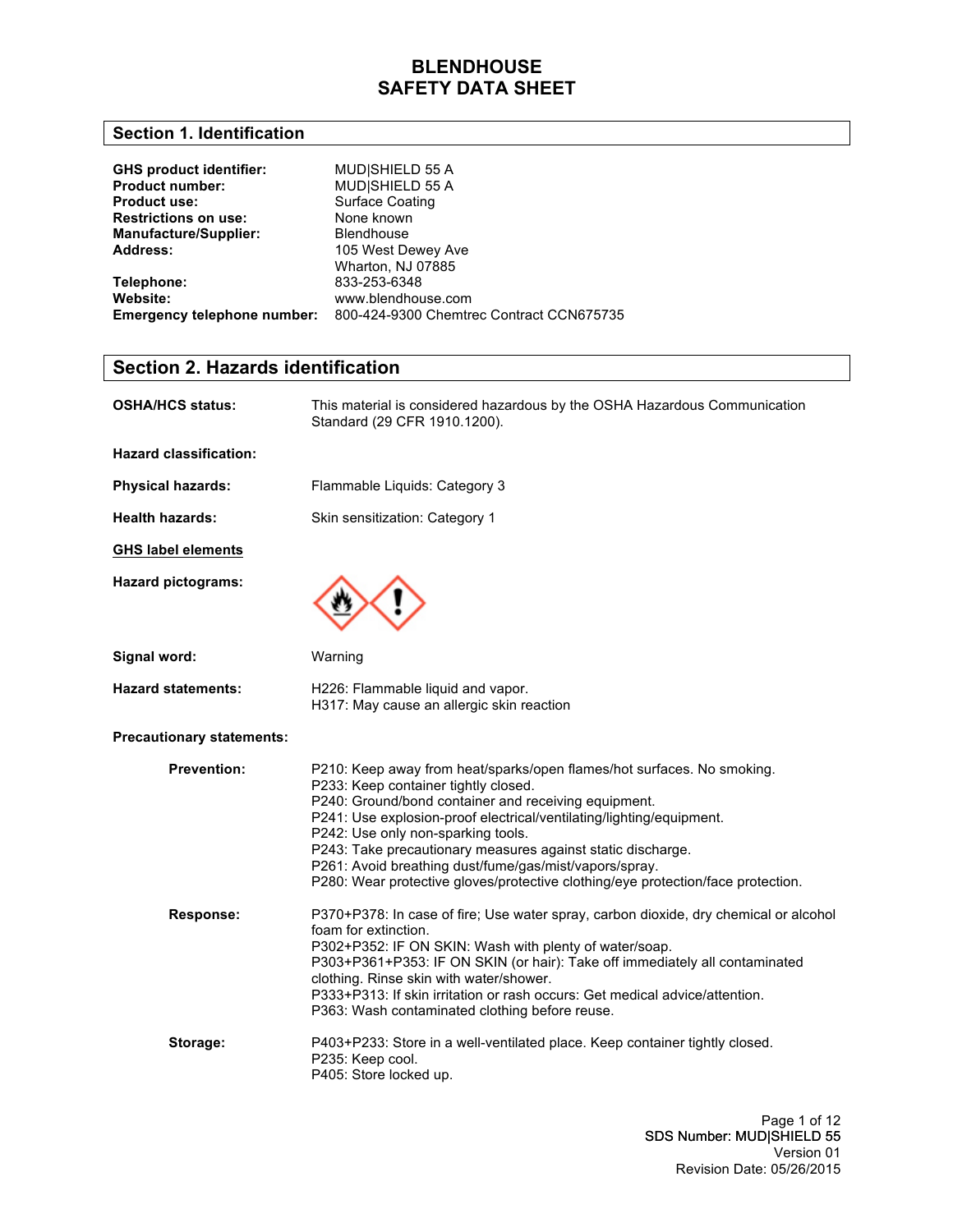### **Section 1. Identification**

| <b>GHS product identifier:</b><br><b>Product number:</b><br><b>Product use:</b><br><b>Restrictions on use:</b> | MUD SHIELD 55 A<br>MUD SHIELD 55 A<br><b>Surface Coating</b><br>None known |
|----------------------------------------------------------------------------------------------------------------|----------------------------------------------------------------------------|
| <b>Manufacture/Supplier:</b><br>Address:                                                                       | <b>Blendhouse</b><br>105 West Dewey Ave                                    |
|                                                                                                                | Wharton, NJ 07885                                                          |
| Telephone:                                                                                                     | 833-253-6348                                                               |
| Website:                                                                                                       | www.blendhouse.com                                                         |
| <b>Emergency telephone number:</b>                                                                             | 800-424-9300 Chemtrec Contract CCN675735                                   |

### **Section 2. Hazards identification**

| OSHA/HCS status:                 | This material is considered hazardous by the OSHA Hazardous Communication<br>Standard (29 CFR 1910.1200).                                                                                                                                                                                                                                                                                                                                                                                         |
|----------------------------------|---------------------------------------------------------------------------------------------------------------------------------------------------------------------------------------------------------------------------------------------------------------------------------------------------------------------------------------------------------------------------------------------------------------------------------------------------------------------------------------------------|
| <b>Hazard classification:</b>    |                                                                                                                                                                                                                                                                                                                                                                                                                                                                                                   |
| <b>Physical hazards:</b>         | Flammable Liquids: Category 3                                                                                                                                                                                                                                                                                                                                                                                                                                                                     |
| <b>Health hazards:</b>           | Skin sensitization: Category 1                                                                                                                                                                                                                                                                                                                                                                                                                                                                    |
| <b>GHS label elements</b>        |                                                                                                                                                                                                                                                                                                                                                                                                                                                                                                   |
| <b>Hazard pictograms:</b>        |                                                                                                                                                                                                                                                                                                                                                                                                                                                                                                   |
| Signal word:                     | Warning                                                                                                                                                                                                                                                                                                                                                                                                                                                                                           |
| <b>Hazard statements:</b>        | H226: Flammable liquid and vapor.<br>H317: May cause an allergic skin reaction                                                                                                                                                                                                                                                                                                                                                                                                                    |
| <b>Precautionary statements:</b> |                                                                                                                                                                                                                                                                                                                                                                                                                                                                                                   |
| <b>Prevention:</b>               | P210: Keep away from heat/sparks/open flames/hot surfaces. No smoking.<br>P233: Keep container tightly closed.<br>P240: Ground/bond container and receiving equipment.<br>P241: Use explosion-proof electrical/ventilating/lighting/equipment.<br>P242: Use only non-sparking tools.<br>P243: Take precautionary measures against static discharge.<br>P261: Avoid breathing dust/fume/gas/mist/vapors/spray.<br>P280: Wear protective gloves/protective clothing/eye protection/face protection. |
| Response:                        | P370+P378: In case of fire; Use water spray, carbon dioxide, dry chemical or alcohol<br>foam for extinction.<br>P302+P352: IF ON SKIN: Wash with plenty of water/soap.<br>P303+P361+P353: IF ON SKIN (or hair): Take off immediately all contaminated<br>clothing. Rinse skin with water/shower.<br>P333+P313: If skin irritation or rash occurs: Get medical advice/attention.<br>P363: Wash contaminated clothing before reuse.                                                                 |
| Storage:                         | P403+P233: Store in a well-ventilated place. Keep container tightly closed.<br>P235: Keep cool.<br>P405: Store locked up.                                                                                                                                                                                                                                                                                                                                                                         |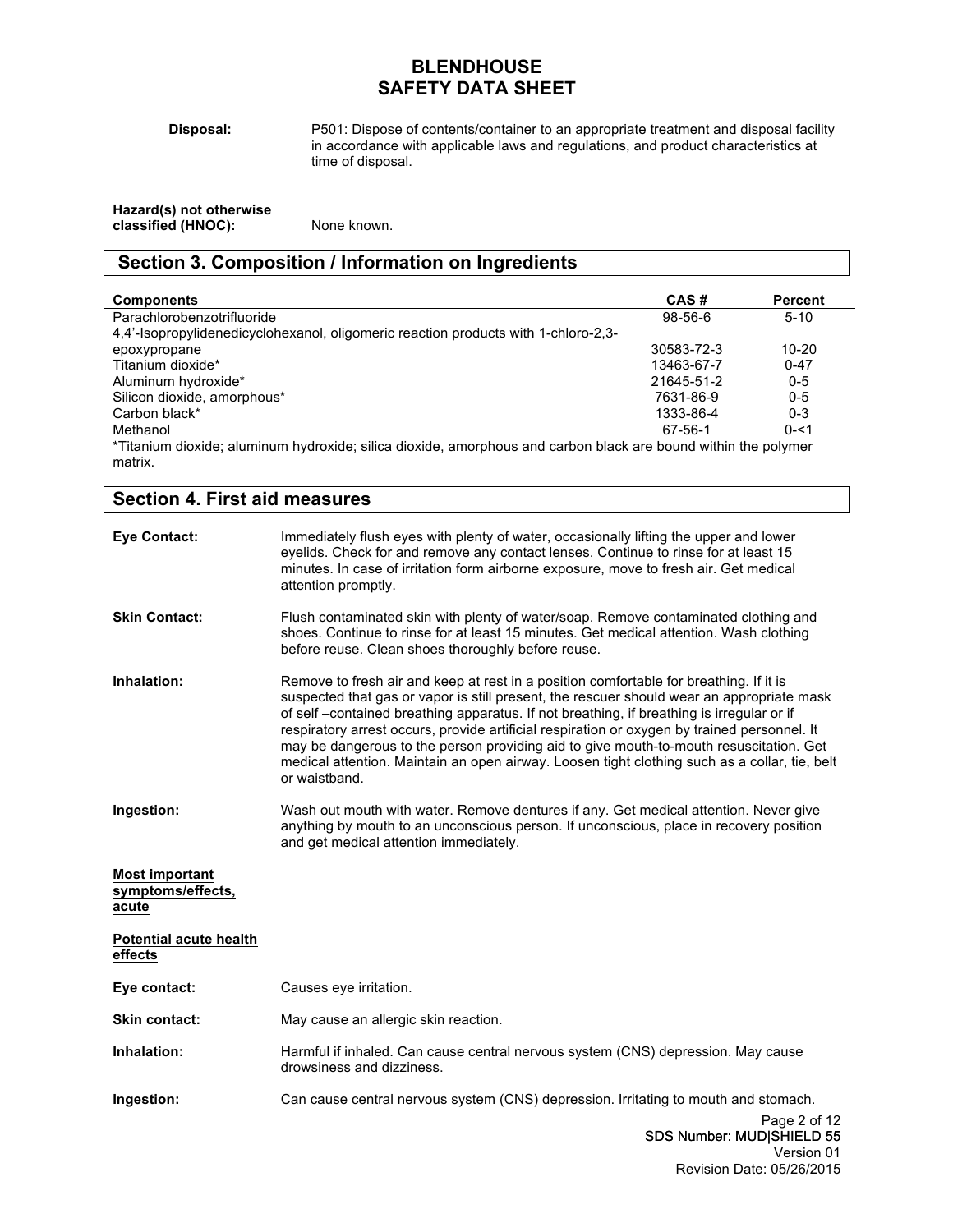**Disposal:**

P501: Dispose of contents/container to an appropriate treatment and disposal facility in accordance with applicable laws and regulations, and product characteristics at time of disposal.

| Hazard(s) not otherwise |             |
|-------------------------|-------------|
| classified (HNOC):      | None known. |

### **Section 3. Composition / Information on Ingredients**

| <b>Components</b>                                                                                              | CAS#       | Percent   |
|----------------------------------------------------------------------------------------------------------------|------------|-----------|
| Parachlorobenzotrifluoride                                                                                     | $98-56-6$  | $5 - 10$  |
| 4.4'-Isopropylidenedicyclohexanol, oligomeric reaction products with 1-chloro-2.3-                             |            |           |
| epoxypropane                                                                                                   | 30583-72-3 | $10 - 20$ |
| Titanium dioxide*                                                                                              | 13463-67-7 | $0 - 47$  |
| Aluminum hydroxide*                                                                                            | 21645-51-2 | $0 - 5$   |
| Silicon dioxide, amorphous*                                                                                    | 7631-86-9  | $0 - 5$   |
| Carbon black*                                                                                                  | 1333-86-4  | $0 - 3$   |
| Methanol                                                                                                       | 67-56-1    | $0 - 51$  |
| *Titanium dioxide; aluminum hydroxide; silica dioxide, amorphous and carbon black are bound within the polymer |            |           |
| matrix.                                                                                                        |            |           |

| <b>Section 4. First aid measures</b>                |                                                                                                                                                                                                                                                                                                                                                                                                                                                                                                                                                                                             |  |
|-----------------------------------------------------|---------------------------------------------------------------------------------------------------------------------------------------------------------------------------------------------------------------------------------------------------------------------------------------------------------------------------------------------------------------------------------------------------------------------------------------------------------------------------------------------------------------------------------------------------------------------------------------------|--|
| <b>Eye Contact:</b>                                 | Immediately flush eyes with plenty of water, occasionally lifting the upper and lower<br>eyelids. Check for and remove any contact lenses. Continue to rinse for at least 15<br>minutes. In case of irritation form airborne exposure, move to fresh air. Get medical<br>attention promptly.                                                                                                                                                                                                                                                                                                |  |
| <b>Skin Contact:</b>                                | Flush contaminated skin with plenty of water/soap. Remove contaminated clothing and<br>shoes. Continue to rinse for at least 15 minutes. Get medical attention. Wash clothing<br>before reuse. Clean shoes thoroughly before reuse.                                                                                                                                                                                                                                                                                                                                                         |  |
| Inhalation:                                         | Remove to fresh air and keep at rest in a position comfortable for breathing. If it is<br>suspected that gas or vapor is still present, the rescuer should wear an appropriate mask<br>of self-contained breathing apparatus. If not breathing, if breathing is irregular or if<br>respiratory arrest occurs, provide artificial respiration or oxygen by trained personnel. It<br>may be dangerous to the person providing aid to give mouth-to-mouth resuscitation. Get<br>medical attention. Maintain an open airway. Loosen tight clothing such as a collar, tie, belt<br>or waistband. |  |
| Ingestion:                                          | Wash out mouth with water. Remove dentures if any. Get medical attention. Never give<br>anything by mouth to an unconscious person. If unconscious, place in recovery position<br>and get medical attention immediately.                                                                                                                                                                                                                                                                                                                                                                    |  |
| <b>Most important</b><br>symptoms/effects,<br>acute |                                                                                                                                                                                                                                                                                                                                                                                                                                                                                                                                                                                             |  |
| <b>Potential acute health</b><br>effects            |                                                                                                                                                                                                                                                                                                                                                                                                                                                                                                                                                                                             |  |
| Eye contact:                                        | Causes eye irritation.                                                                                                                                                                                                                                                                                                                                                                                                                                                                                                                                                                      |  |
| <b>Skin contact:</b>                                | May cause an allergic skin reaction.                                                                                                                                                                                                                                                                                                                                                                                                                                                                                                                                                        |  |
| Inhalation:                                         | Harmful if inhaled. Can cause central nervous system (CNS) depression. May cause<br>drowsiness and dizziness.                                                                                                                                                                                                                                                                                                                                                                                                                                                                               |  |
| Ingestion:                                          | Can cause central nervous system (CNS) depression. Irritating to mouth and stomach.                                                                                                                                                                                                                                                                                                                                                                                                                                                                                                         |  |
|                                                     | Page 2 of 12<br>SDS Number: MUD SHIELD 55<br>Version 01                                                                                                                                                                                                                                                                                                                                                                                                                                                                                                                                     |  |

Revision Date: 05/26/2015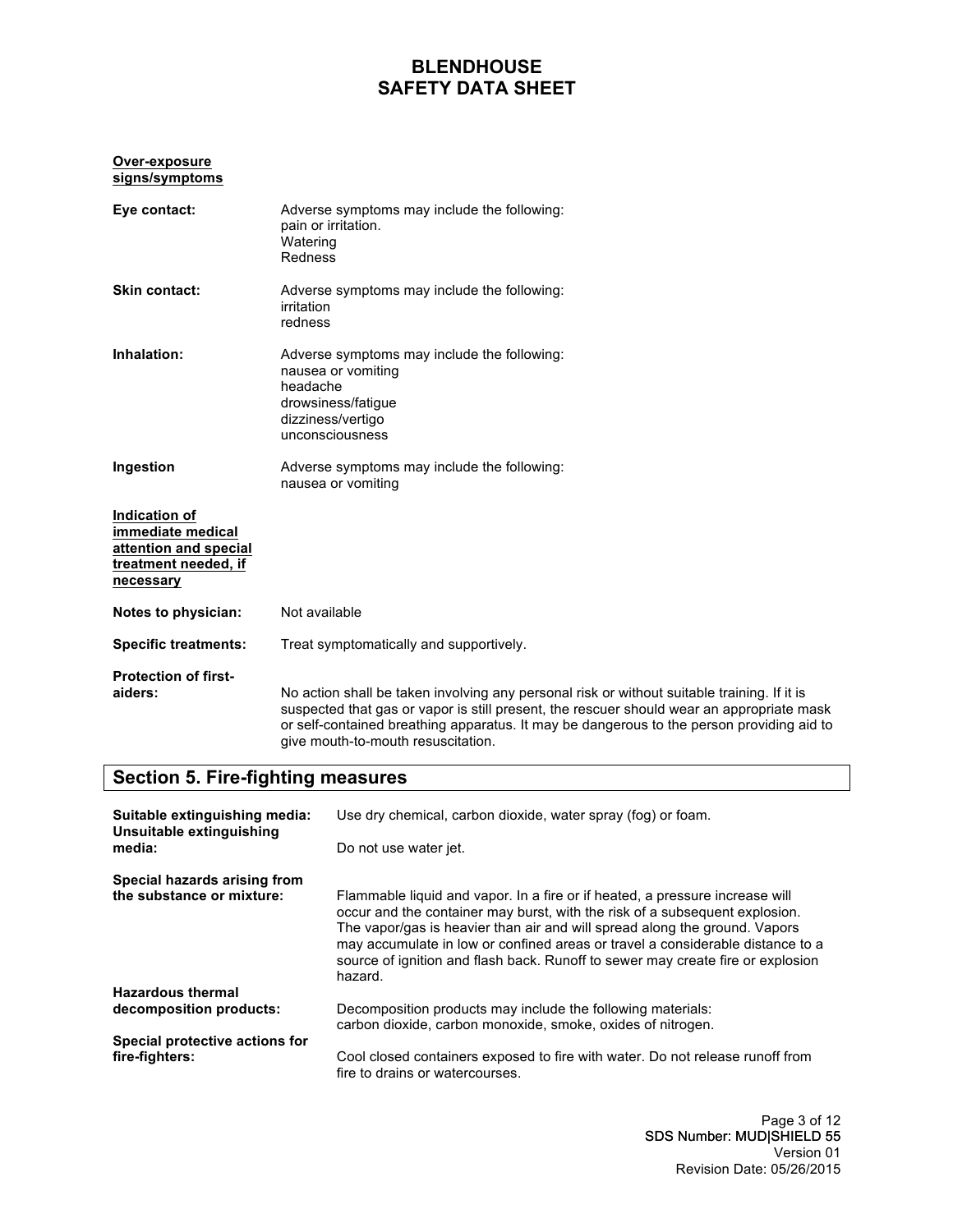#### **Over-exposure signs/symptoms**

| Eye contact:                                                                                     | Adverse symptoms may include the following:<br>pain or irritation.<br>Watering<br>Redness                                                                                                                                                                                                                                   |
|--------------------------------------------------------------------------------------------------|-----------------------------------------------------------------------------------------------------------------------------------------------------------------------------------------------------------------------------------------------------------------------------------------------------------------------------|
| Skin contact:                                                                                    | Adverse symptoms may include the following:<br>irritation<br>redness                                                                                                                                                                                                                                                        |
| Inhalation:                                                                                      | Adverse symptoms may include the following:<br>nausea or vomiting<br>headache<br>drowsiness/fatigue<br>dizziness/vertigo<br>unconsciousness                                                                                                                                                                                 |
| Ingestion                                                                                        | Adverse symptoms may include the following:<br>nausea or vomiting                                                                                                                                                                                                                                                           |
| Indication of<br>immediate medical<br>attention and special<br>treatment needed, if<br>necessary |                                                                                                                                                                                                                                                                                                                             |
| Notes to physician:                                                                              | Not available                                                                                                                                                                                                                                                                                                               |
| <b>Specific treatments:</b>                                                                      | Treat symptomatically and supportively.                                                                                                                                                                                                                                                                                     |
| <b>Protection of first-</b><br>aiders:                                                           | No action shall be taken involving any personal risk or without suitable training. If it is<br>suspected that gas or vapor is still present, the rescuer should wear an appropriate mask<br>or self-contained breathing apparatus. It may be dangerous to the person providing aid to<br>give mouth-to-mouth resuscitation. |

### **Section 5. Fire-fighting measures**

| Suitable extinguishing media:<br>Unsuitable extinguishing | Use dry chemical, carbon dioxide, water spray (fog) or foam.                                                                                                                                                                                                                                                                                                                                                              |
|-----------------------------------------------------------|---------------------------------------------------------------------------------------------------------------------------------------------------------------------------------------------------------------------------------------------------------------------------------------------------------------------------------------------------------------------------------------------------------------------------|
| media:                                                    | Do not use water jet.                                                                                                                                                                                                                                                                                                                                                                                                     |
| Special hazards arising from<br>the substance or mixture: | Flammable liquid and vapor. In a fire or if heated, a pressure increase will<br>occur and the container may burst, with the risk of a subsequent explosion.<br>The vapor/gas is heavier than air and will spread along the ground. Vapors<br>may accumulate in low or confined areas or travel a considerable distance to a<br>source of ignition and flash back. Runoff to sewer may create fire or explosion<br>hazard. |
| <b>Hazardous thermal</b>                                  |                                                                                                                                                                                                                                                                                                                                                                                                                           |
| decomposition products:                                   | Decomposition products may include the following materials:<br>carbon dioxide, carbon monoxide, smoke, oxides of nitrogen.                                                                                                                                                                                                                                                                                                |
| Special protective actions for<br>fire-fighters:          | Cool closed containers exposed to fire with water. Do not release runoff from<br>fire to drains or watercourses.                                                                                                                                                                                                                                                                                                          |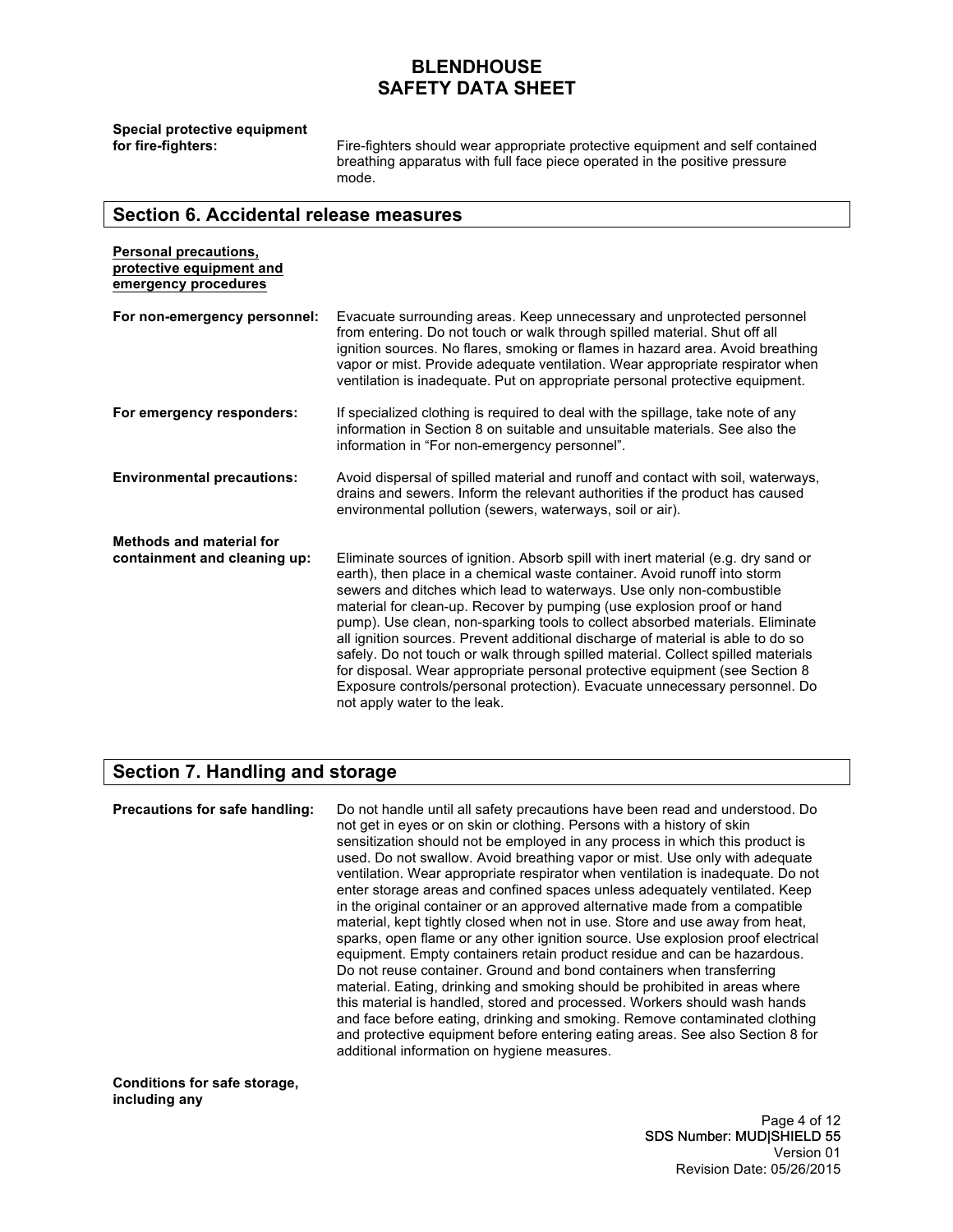**Special protective equipment** 

Fire-fighters should wear appropriate protective equipment and self contained breathing apparatus with full face piece operated in the positive pressure mode.

### **Section 6. Accidental release measures**

| Personal precautions,<br>protective equipment and<br>emergency procedures |                                                                                                                                                                                                                                                                                                                                                                                                                                                                                                                                                                                                                                                                                                                                                                        |
|---------------------------------------------------------------------------|------------------------------------------------------------------------------------------------------------------------------------------------------------------------------------------------------------------------------------------------------------------------------------------------------------------------------------------------------------------------------------------------------------------------------------------------------------------------------------------------------------------------------------------------------------------------------------------------------------------------------------------------------------------------------------------------------------------------------------------------------------------------|
| For non-emergency personnel:                                              | Evacuate surrounding areas. Keep unnecessary and unprotected personnel<br>from entering. Do not touch or walk through spilled material. Shut off all<br>ignition sources. No flares, smoking or flames in hazard area. Avoid breathing<br>vapor or mist. Provide adequate ventilation. Wear appropriate respirator when<br>ventilation is inadequate. Put on appropriate personal protective equipment.                                                                                                                                                                                                                                                                                                                                                                |
| For emergency responders:                                                 | If specialized clothing is required to deal with the spillage, take note of any<br>information in Section 8 on suitable and unsuitable materials. See also the<br>information in "For non-emergency personnel".                                                                                                                                                                                                                                                                                                                                                                                                                                                                                                                                                        |
| <b>Environmental precautions:</b>                                         | Avoid dispersal of spilled material and runoff and contact with soil, waterways,<br>drains and sewers. Inform the relevant authorities if the product has caused<br>environmental pollution (sewers, waterways, soil or air).                                                                                                                                                                                                                                                                                                                                                                                                                                                                                                                                          |
| <b>Methods and material for</b><br>containment and cleaning up:           | Eliminate sources of ignition. Absorb spill with inert material (e.g. dry sand or<br>earth), then place in a chemical waste container. Avoid runoff into storm<br>sewers and ditches which lead to waterways. Use only non-combustible<br>material for clean-up. Recover by pumping (use explosion proof or hand<br>pump). Use clean, non-sparking tools to collect absorbed materials. Eliminate<br>all ignition sources. Prevent additional discharge of material is able to do so<br>safely. Do not touch or walk through spilled material. Collect spilled materials<br>for disposal. Wear appropriate personal protective equipment (see Section 8)<br>Exposure controls/personal protection). Evacuate unnecessary personnel. Do<br>not apply water to the leak. |

### **Section 7. Handling and storage**

**Precautions for safe handling:** Do not handle until all safety precautions have been read and understood. Do not get in eyes or on skin or clothing. Persons with a history of skin sensitization should not be employed in any process in which this product is used. Do not swallow. Avoid breathing vapor or mist. Use only with adequate ventilation. Wear appropriate respirator when ventilation is inadequate. Do not enter storage areas and confined spaces unless adequately ventilated. Keep in the original container or an approved alternative made from a compatible material, kept tightly closed when not in use. Store and use away from heat, sparks, open flame or any other ignition source. Use explosion proof electrical equipment. Empty containers retain product residue and can be hazardous. Do not reuse container. Ground and bond containers when transferring material. Eating, drinking and smoking should be prohibited in areas where this material is handled, stored and processed. Workers should wash hands and face before eating, drinking and smoking. Remove contaminated clothing and protective equipment before entering eating areas. See also Section 8 for additional information on hygiene measures.

**Conditions for safe storage, including any** 

> Page 4 of 12 SDS Number: MUD|SHIELD 55 Version 01 Revision Date: 05/26/2015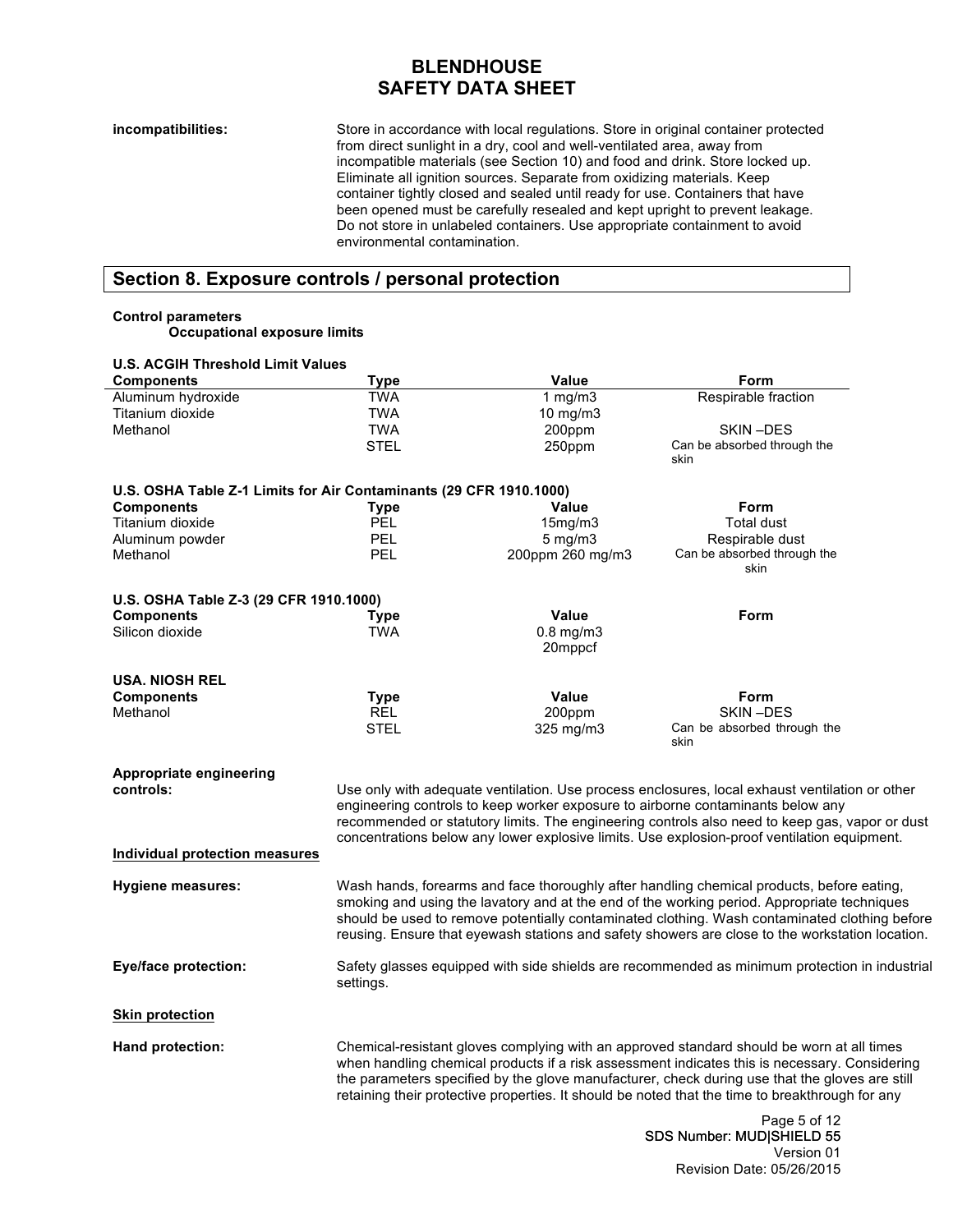**incompatibilities:** Store in accordance with local regulations. Store in original container protected from direct sunlight in a dry, cool and well-ventilated area, away from incompatible materials (see Section 10) and food and drink. Store locked up. Eliminate all ignition sources. Separate from oxidizing materials. Keep container tightly closed and sealed until ready for use. Containers that have been opened must be carefully resealed and kept upright to prevent leakage. Do not store in unlabeled containers. Use appropriate containment to avoid environmental contamination.

### **Section 8. Exposure controls / personal protection**

#### **Control parameters**

**Occupational exposure limits**

| <b>U.S. ACGIH Threshold Limit Values</b>                           |             |                  |                                                                                                 |
|--------------------------------------------------------------------|-------------|------------------|-------------------------------------------------------------------------------------------------|
| <b>Components</b>                                                  | Type        | <b>Value</b>     | Form                                                                                            |
| Aluminum hydroxide                                                 | <b>TWA</b>  | $1$ mg/m $3$     | Respirable fraction                                                                             |
| Titanium dioxide                                                   | <b>TWA</b>  | 10 mg/m3         |                                                                                                 |
| Methanol                                                           | <b>TWA</b>  | 200ppm           | SKIN-DES                                                                                        |
|                                                                    | STEL        | 250ppm           | Can be absorbed through the                                                                     |
|                                                                    |             |                  | skin                                                                                            |
|                                                                    |             |                  |                                                                                                 |
| U.S. OSHA Table Z-1 Limits for Air Contaminants (29 CFR 1910.1000) |             |                  |                                                                                                 |
| <b>Components</b>                                                  | Type        | Value            | Form                                                                                            |
| Titanium dioxide                                                   | <b>PEL</b>  | 15mg/m3          | <b>Total dust</b>                                                                               |
| Aluminum powder                                                    | PEL         | $5$ mg/m $3$     | Respirable dust                                                                                 |
| Methanol                                                           | PEL         | 200ppm 260 mg/m3 | Can be absorbed through the                                                                     |
|                                                                    |             |                  | skin                                                                                            |
|                                                                    |             |                  |                                                                                                 |
| U.S. OSHA Table Z-3 (29 CFR 1910.1000)                             |             |                  |                                                                                                 |
| <b>Components</b>                                                  | Type        | <b>Value</b>     | Form                                                                                            |
| Silicon dioxide                                                    | <b>TWA</b>  | $0.8$ mg/m $3$   |                                                                                                 |
|                                                                    |             | 20mppcf          |                                                                                                 |
|                                                                    |             |                  |                                                                                                 |
| <b>USA. NIOSH REL</b>                                              |             |                  |                                                                                                 |
| <b>Components</b>                                                  | <b>Type</b> | <b>Value</b>     | Form                                                                                            |
| Methanol                                                           | REL         | 200ppm           | SKIN-DES                                                                                        |
|                                                                    | STEL        | $325$ mg/m $3$   | Can be absorbed through the                                                                     |
|                                                                    |             |                  | skin                                                                                            |
|                                                                    |             |                  |                                                                                                 |
| Appropriate engineering                                            |             |                  |                                                                                                 |
| controls:                                                          |             |                  | Use only with adequate ventilation. Use process enclosures, local exhaust ventilation or other  |
|                                                                    |             |                  | engineering controls to keep worker exposure to airborne contaminants below any                 |
|                                                                    |             |                  | recommended or statutory limits. The engineering controls also need to keep gas, vapor or dust  |
|                                                                    |             |                  | concentrations below any lower explosive limits. Use explosion-proof ventilation equipment.     |
| Individual protection measures                                     |             |                  |                                                                                                 |
|                                                                    |             |                  |                                                                                                 |
| <b>Hygiene measures:</b>                                           |             |                  | Wash hands, forearms and face thoroughly after handling chemical products, before eating,       |
|                                                                    |             |                  | smoking and using the lavatory and at the end of the working period. Appropriate techniques     |
|                                                                    |             |                  | should be used to remove potentially contaminated clothing. Wash contaminated clothing before   |
|                                                                    |             |                  | reusing. Ensure that eyewash stations and safety showers are close to the workstation location. |
|                                                                    |             |                  |                                                                                                 |
| Eye/face protection:                                               |             |                  | Safety glasses equipped with side shields are recommended as minimum protection in industrial   |
|                                                                    | settings.   |                  |                                                                                                 |
|                                                                    |             |                  |                                                                                                 |
| <b>Skin protection</b>                                             |             |                  |                                                                                                 |
|                                                                    |             |                  |                                                                                                 |
| Hand protection:                                                   |             |                  | Chemical-resistant gloves complying with an approved standard should be worn at all times       |
|                                                                    |             |                  | when handling chemical products if a risk assessment indicates this is necessary. Considering   |
|                                                                    |             |                  | the parameters specified by the glove manufacturer, check during use that the gloves are still  |
|                                                                    |             |                  | retaining their protective properties. It should be noted that the time to breakthrough for any |
|                                                                    |             |                  |                                                                                                 |
|                                                                    |             |                  | Page 5 of 12                                                                                    |
|                                                                    |             |                  | CDC Number: MUDICUIELD EE                                                                       |

SDS Number: MUD|SHIELD 55 Version 01 Revision Date: 05/26/2015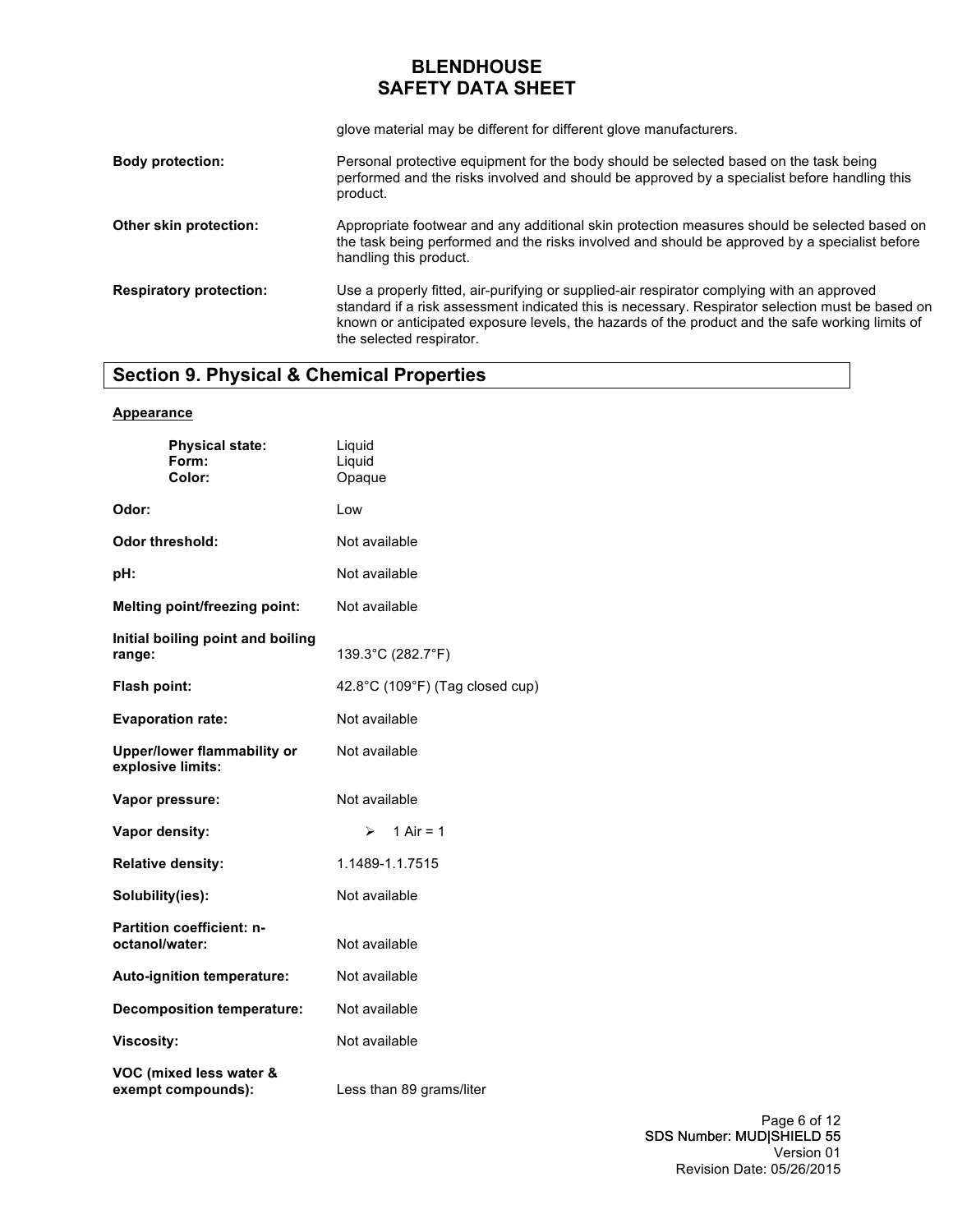glove material may be different for different glove manufacturers.

| <b>Body protection:</b>        | Personal protective equipment for the body should be selected based on the task being<br>performed and the risks involved and should be approved by a specialist before handling this<br>product.                                                                                                                             |
|--------------------------------|-------------------------------------------------------------------------------------------------------------------------------------------------------------------------------------------------------------------------------------------------------------------------------------------------------------------------------|
| Other skin protection:         | Appropriate footwear and any additional skin protection measures should be selected based on<br>the task being performed and the risks involved and should be approved by a specialist before<br>handling this product.                                                                                                       |
| <b>Respiratory protection:</b> | Use a properly fitted, air-purifying or supplied-air respirator complying with an approved<br>standard if a risk assessment indicated this is necessary. Respirator selection must be based on<br>known or anticipated exposure levels, the hazards of the product and the safe working limits of<br>the selected respirator. |

# **Section 9. Physical & Chemical Properties**

#### **Appearance**

| <b>Physical state:</b><br>Form:<br>Color:               | Liquid<br>Liquid<br>Opaque      |
|---------------------------------------------------------|---------------------------------|
| Odor:                                                   | Low                             |
| Odor threshold:                                         | Not available                   |
| pH:                                                     | Not available                   |
| <b>Melting point/freezing point:</b>                    | Not available                   |
| Initial boiling point and boiling<br>range:             | 139.3°C (282.7°F)               |
| Flash point:                                            | 42.8°C (109°F) (Tag closed cup) |
| <b>Evaporation rate:</b>                                | Not available                   |
| <b>Upper/lower flammability or</b><br>explosive limits: | Not available                   |
| Vapor pressure:                                         | Not available                   |
| Vapor density:                                          | 1 Air = $1$<br>⋗                |
| <b>Relative density:</b>                                | 1.1489-1.1.7515                 |
| Solubility(ies):                                        | Not available                   |
| <b>Partition coefficient: n-</b><br>octanol/water:      | Not available                   |
| Auto-ignition temperature:                              | Not available                   |
| <b>Decomposition temperature:</b>                       | Not available                   |
| <b>Viscosity:</b>                                       | Not available                   |
| VOC (mixed less water &<br>exempt compounds):           | Less than 89 grams/liter        |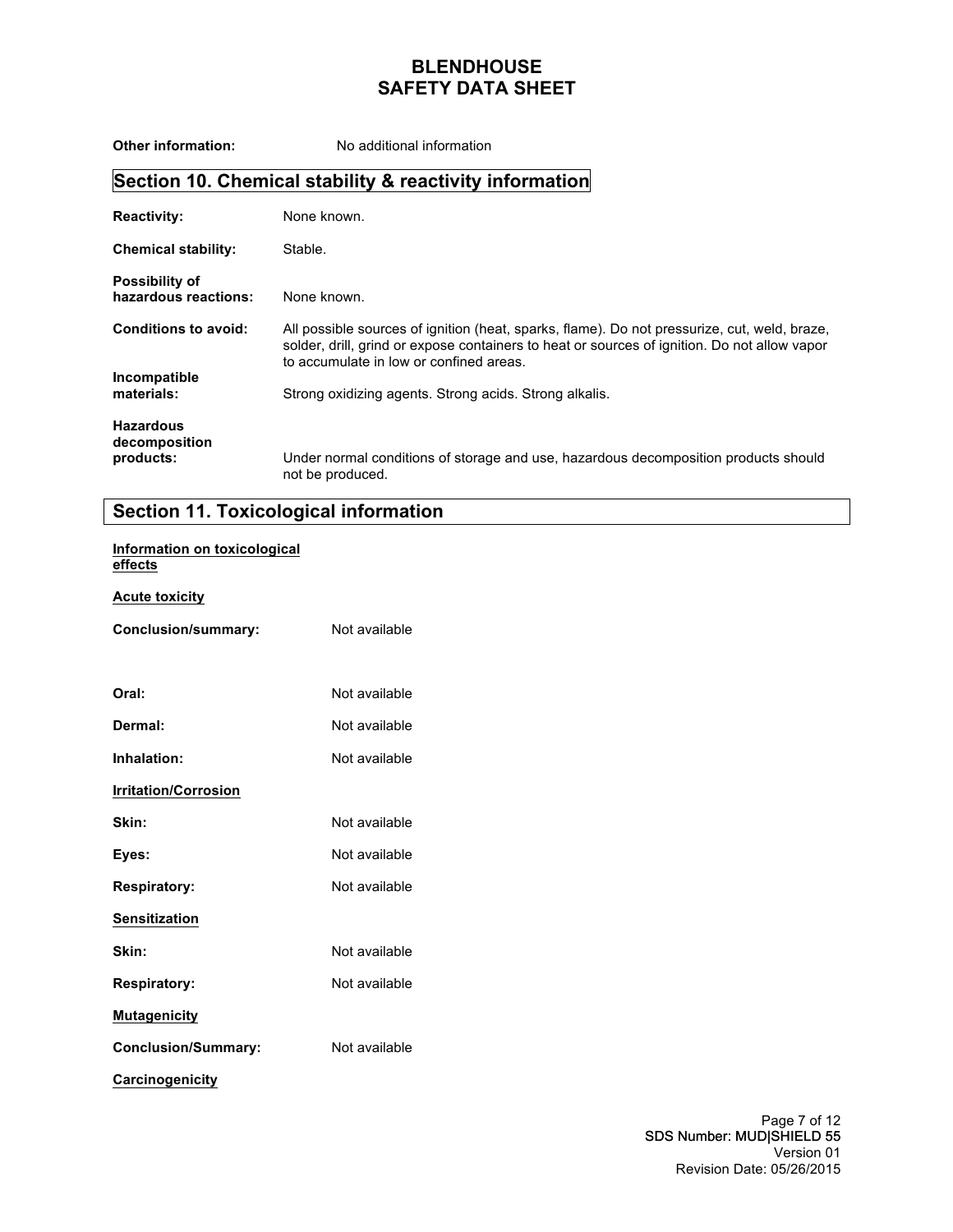| <b>Other information:</b>                     | No additional information                                                                                                                                                                                                               |
|-----------------------------------------------|-----------------------------------------------------------------------------------------------------------------------------------------------------------------------------------------------------------------------------------------|
|                                               | Section 10. Chemical stability & reactivity information                                                                                                                                                                                 |
| <b>Reactivity:</b>                            | None known.                                                                                                                                                                                                                             |
| <b>Chemical stability:</b>                    | Stable.                                                                                                                                                                                                                                 |
| <b>Possibility of</b><br>hazardous reactions: | None known.                                                                                                                                                                                                                             |
| <b>Conditions to avoid:</b>                   | All possible sources of ignition (heat, sparks, flame). Do not pressurize, cut, weld, braze,<br>solder, drill, grind or expose containers to heat or sources of ignition. Do not allow vapor<br>to accumulate in low or confined areas. |
| Incompatible<br>materials:                    | Strong oxidizing agents. Strong acids. Strong alkalis.                                                                                                                                                                                  |
| <b>Hazardous</b><br>decomposition             |                                                                                                                                                                                                                                         |
| products:                                     | Under normal conditions of storage and use, hazardous decomposition products should<br>not be produced.                                                                                                                                 |

# **Section 11. Toxicological information**

### **Information on toxicological effects**

#### **Acute toxicity**

| Conclusion/summary:         | Not available |
|-----------------------------|---------------|
| Oral:                       | Not available |
| Dermal:                     | Not available |
| Inhalation:                 | Not available |
| <b>Irritation/Corrosion</b> |               |
| Skin:                       | Not available |
| Eyes:                       | Not available |
| <b>Respiratory:</b>         | Not available |
| <b>Sensitization</b>        |               |
| Skin:                       | Not available |
| <b>Respiratory:</b>         | Not available |
| <b>Mutagenicity</b>         |               |
| <b>Conclusion/Summary:</b>  | Not available |
| <b>Carcinogenicity</b>      |               |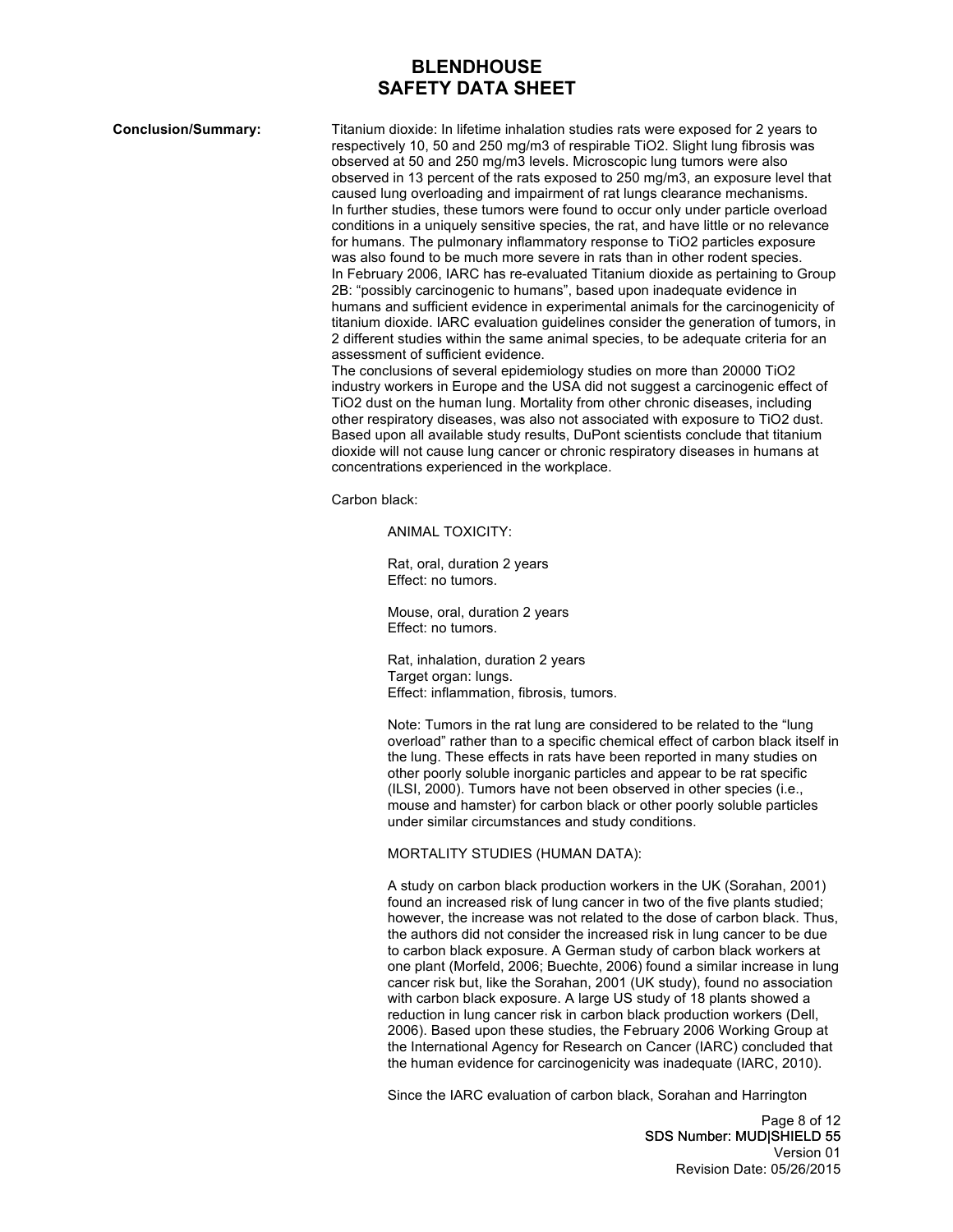**Conclusion/Summary:** Titanium dioxide: In lifetime inhalation studies rats were exposed for 2 years to respectively 10, 50 and 250 mg/m3 of respirable TiO2. Slight lung fibrosis was observed at 50 and 250 mg/m3 levels. Microscopic lung tumors were also observed in 13 percent of the rats exposed to 250 mg/m3, an exposure level that caused lung overloading and impairment of rat lungs clearance mechanisms. In further studies, these tumors were found to occur only under particle overload conditions in a uniquely sensitive species, the rat, and have little or no relevance for humans. The pulmonary inflammatory response to TiO2 particles exposure was also found to be much more severe in rats than in other rodent species. In February 2006, IARC has re-evaluated Titanium dioxide as pertaining to Group 2B: "possibly carcinogenic to humans", based upon inadequate evidence in humans and sufficient evidence in experimental animals for the carcinogenicity of titanium dioxide. IARC evaluation guidelines consider the generation of tumors, in 2 different studies within the same animal species, to be adequate criteria for an assessment of sufficient evidence.

> The conclusions of several epidemiology studies on more than 20000 TiO2 industry workers in Europe and the USA did not suggest a carcinogenic effect of TiO2 dust on the human lung. Mortality from other chronic diseases, including other respiratory diseases, was also not associated with exposure to TiO2 dust. Based upon all available study results, DuPont scientists conclude that titanium dioxide will not cause lung cancer or chronic respiratory diseases in humans at concentrations experienced in the workplace.

Carbon black:

ANIMAL TOXICITY:

Rat, oral, duration 2 years Effect: no tumors.

Mouse, oral, duration 2 years Effect: no tumors.

Rat, inhalation, duration 2 years Target organ: lungs. Effect: inflammation, fibrosis, tumors.

Note: Tumors in the rat lung are considered to be related to the "lung overload" rather than to a specific chemical effect of carbon black itself in the lung. These effects in rats have been reported in many studies on other poorly soluble inorganic particles and appear to be rat specific (ILSI, 2000). Tumors have not been observed in other species (i.e., mouse and hamster) for carbon black or other poorly soluble particles under similar circumstances and study conditions.

#### MORTALITY STUDIES (HUMAN DATA):

A study on carbon black production workers in the UK (Sorahan, 2001) found an increased risk of lung cancer in two of the five plants studied; however, the increase was not related to the dose of carbon black. Thus, the authors did not consider the increased risk in lung cancer to be due to carbon black exposure. A German study of carbon black workers at one plant (Morfeld, 2006; Buechte, 2006) found a similar increase in lung cancer risk but, like the Sorahan, 2001 (UK study), found no association with carbon black exposure. A large US study of 18 plants showed a reduction in lung cancer risk in carbon black production workers (Dell, 2006). Based upon these studies, the February 2006 Working Group at the International Agency for Research on Cancer (IARC) concluded that the human evidence for carcinogenicity was inadequate (IARC, 2010).

Since the IARC evaluation of carbon black, Sorahan and Harrington

Page 8 of 12 SDS Number: MUD|SHIELD 55 Version 01 Revision Date: 05/26/2015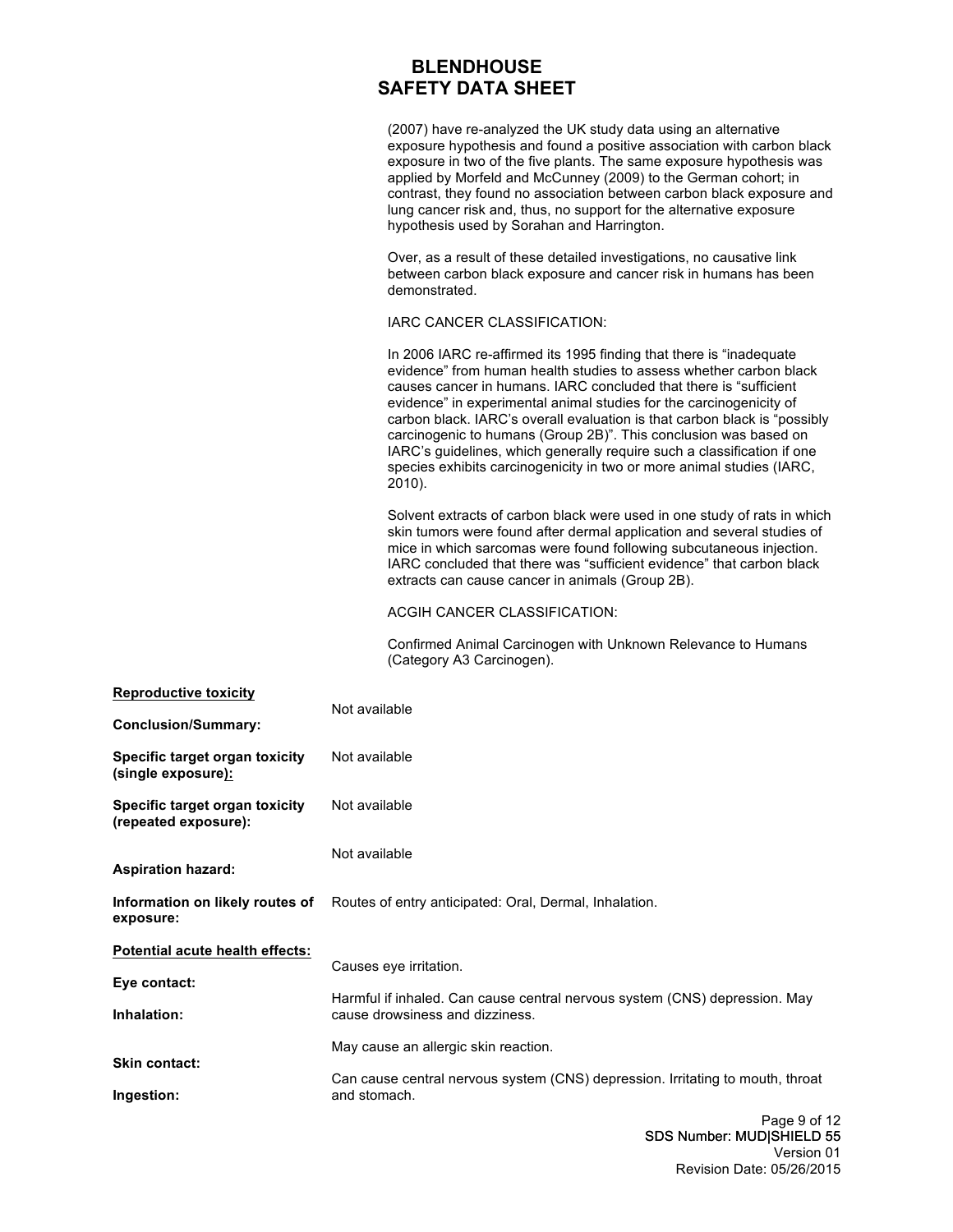(2007) have re-analyzed the UK study data using an alternative exposure hypothesis and found a positive association with carbon black exposure in two of the five plants. The same exposure hypothesis was applied by Morfeld and McCunney (2009) to the German cohort; in contrast, they found no association between carbon black exposure and lung cancer risk and, thus, no support for the alternative exposure hypothesis used by Sorahan and Harrington.

Over, as a result of these detailed investigations, no causative link between carbon black exposure and cancer risk in humans has been demonstrated.

IARC CANCER CLASSIFICATION:

In 2006 IARC re-affirmed its 1995 finding that there is "inadequate evidence" from human health studies to assess whether carbon black causes cancer in humans. IARC concluded that there is "sufficient evidence" in experimental animal studies for the carcinogenicity of carbon black. IARC's overall evaluation is that carbon black is "possibly carcinogenic to humans (Group 2B)". This conclusion was based on IARC's guidelines, which generally require such a classification if one species exhibits carcinogenicity in two or more animal studies (IARC, 2010).

Solvent extracts of carbon black were used in one study of rats in which skin tumors were found after dermal application and several studies of mice in which sarcomas were found following subcutaneous injection. IARC concluded that there was "sufficient evidence" that carbon black extracts can cause cancer in animals (Group 2B).

ACGIH CANCER CLASSIFICATION:

Confirmed Animal Carcinogen with Unknown Relevance to Humans (Category A3 Carcinogen).

| <b>Reproductive toxicity</b>                           | Not available                                                                                                 |
|--------------------------------------------------------|---------------------------------------------------------------------------------------------------------------|
| <b>Conclusion/Summary:</b>                             |                                                                                                               |
| Specific target organ toxicity<br>(single exposure):   | Not available                                                                                                 |
| Specific target organ toxicity<br>(repeated exposure): | Not available                                                                                                 |
| <b>Aspiration hazard:</b>                              | Not available                                                                                                 |
| exposure:                                              | Information on likely routes of Routes of entry anticipated: Oral, Dermal, Inhalation.                        |
| Potential acute health effects:                        |                                                                                                               |
| Eye contact:                                           | Causes eye irritation.                                                                                        |
| Inhalation:                                            | Harmful if inhaled. Can cause central nervous system (CNS) depression. May<br>cause drowsiness and dizziness. |
|                                                        | May cause an allergic skin reaction.                                                                          |
| <b>Skin contact:</b>                                   | Can cause central nervous system (CNS) depression. Irritating to mouth, throat                                |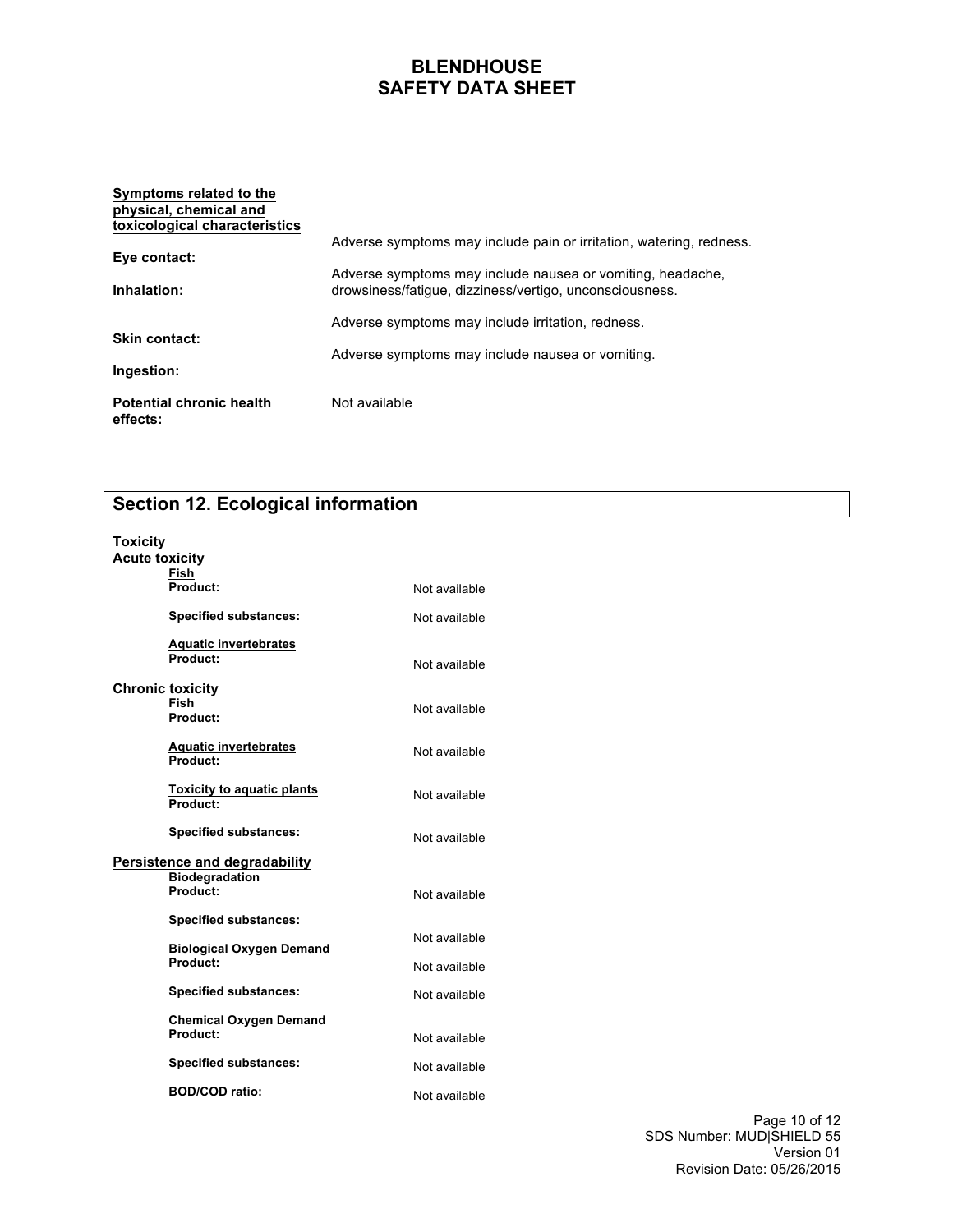#### **Symptoms related to the physical, chemical and toxicological characteristics Eye contact: Inhalation: Skin contact: Ingestion: Potential chronic health effects:** Adverse symptoms may include pain or irritation, watering, redness. Adverse symptoms may include nausea or vomiting, headache, drowsiness/fatigue, dizziness/vertigo, unconsciousness. Adverse symptoms may include irritation, redness. Adverse symptoms may include nausea or vomiting. Not available

### **Section 12. Ecological information**

## **Toxicity**

| 1.971915                      |                                               |               |
|-------------------------------|-----------------------------------------------|---------------|
| <b>Acute toxicity</b>         | Fish                                          |               |
|                               | Product:                                      | Not available |
|                               | <b>Specified substances:</b>                  | Not available |
|                               | <b>Aquatic invertebrates</b><br>Product:      | Not available |
| Chronic toxicity              | Fish<br>Product:                              | Not available |
|                               | <b>Aquatic invertebrates</b><br>Product:      | Not available |
|                               | <b>Toxicity to aquatic plants</b><br>Product: | Not available |
|                               | <b>Specified substances:</b>                  | Not available |
| Persistence and degradability |                                               |               |
|                               | <b>Biodegradation</b><br>Product:             | Not available |
|                               | <b>Specified substances:</b>                  |               |
|                               | <b>Biological Oxygen Demand</b>               | Not available |
|                               | Product:                                      | Not available |
|                               | <b>Specified substances:</b>                  | Not available |
|                               | <b>Chemical Oxygen Demand</b><br>Product:     | Not available |
|                               | <b>Specified substances:</b>                  | Not available |
|                               | <b>BOD/COD ratio:</b>                         | Not available |

Page 10 of 12 SDS Number: MUD|SHIELD 55 Version 01 Revision Date: 05/26/2015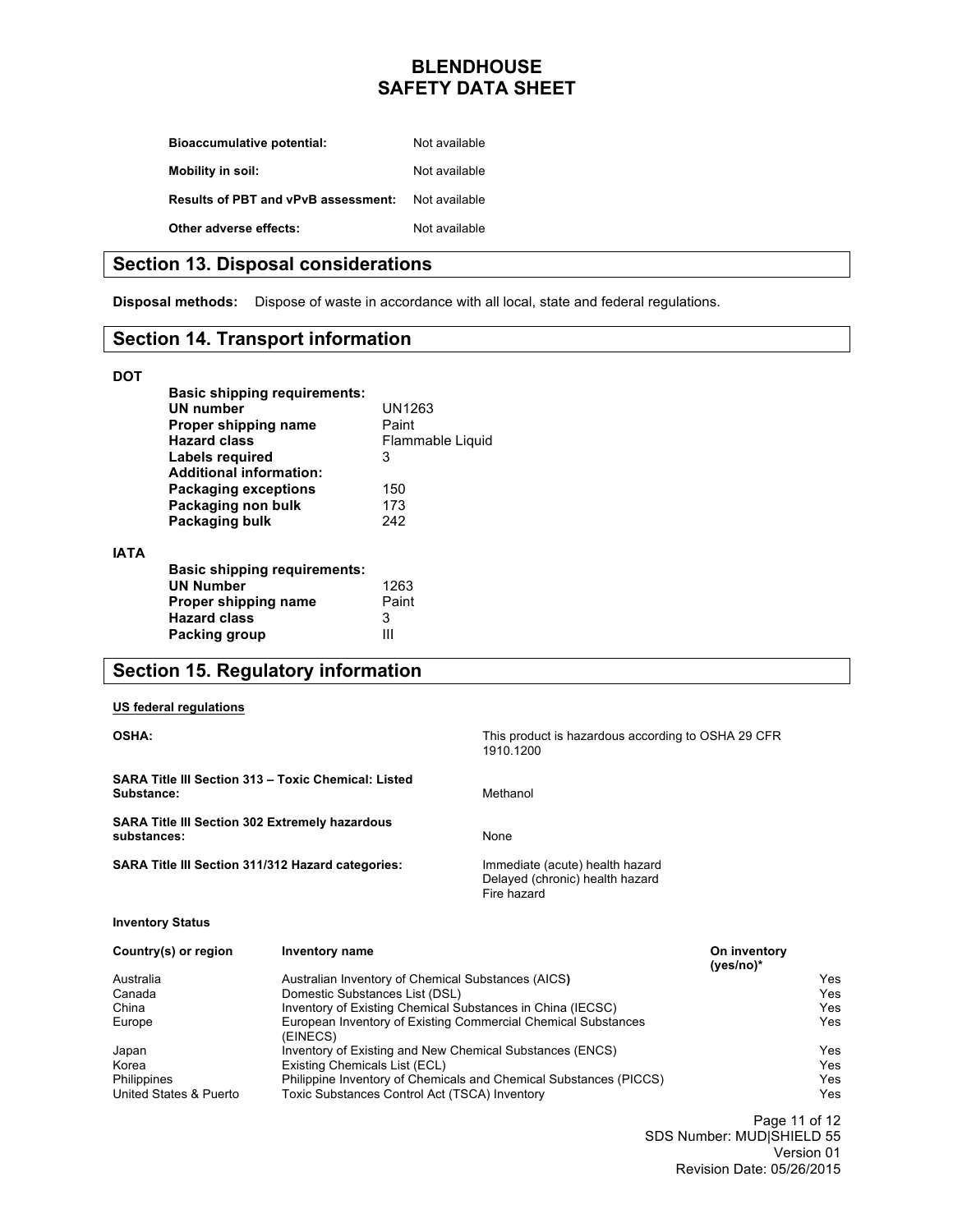| <b>Bioaccumulative potential:</b>          | Not available |
|--------------------------------------------|---------------|
| <b>Mobility in soil:</b>                   | Not available |
| <b>Results of PBT and vPvB assessment:</b> | Not available |
| Other adverse effects:                     | Not available |

### **Section 13. Disposal considerations**

**Disposal methods:** Dispose of waste in accordance with all local, state and federal regulations.

### **Section 14. Transport information**

#### **DOT**

**IATA**

| <b>Basic shipping requirements:</b><br>UN number<br>Proper shipping name<br><b>Hazard class</b> | UN1263<br>Paint<br>Flammable Liquid |
|-------------------------------------------------------------------------------------------------|-------------------------------------|
| Labels reguired                                                                                 | 3                                   |
| <b>Additional information:</b>                                                                  |                                     |
| <b>Packaging exceptions</b>                                                                     | 150                                 |
| Packaging non bulk                                                                              | 173                                 |
| Packaging bulk                                                                                  | 242                                 |
| <b>Basic shipping requirements:</b><br><b>UN Number</b>                                         | 1263                                |
| Proper shipping name                                                                            | Paint                               |
| <b>Hazard class</b>                                                                             | 3                                   |
| Packing group                                                                                   |                                     |

### **Section 15. Regulatory information**

#### **US federal regulations**

| <b>OSHA:</b>                                                         |                                                            | This product is hazardous according to OSHA 29 CFR<br>1910.1200                   |                             |      |
|----------------------------------------------------------------------|------------------------------------------------------------|-----------------------------------------------------------------------------------|-----------------------------|------|
| Substance:                                                           | SARA Title III Section 313 - Toxic Chemical: Listed        | Methanol                                                                          |                             |      |
| <b>SARA Title III Section 302 Extremely hazardous</b><br>substances: |                                                            | None                                                                              |                             |      |
|                                                                      | <b>SARA Title III Section 311/312 Hazard categories:</b>   | Immediate (acute) health hazard<br>Delayed (chronic) health hazard<br>Fire hazard |                             |      |
| <b>Inventory Status</b>                                              |                                                            |                                                                                   |                             |      |
| Country(s) or region                                                 | <b>Inventory name</b>                                      |                                                                                   | On inventory<br>$(yes/no)*$ |      |
| Australia                                                            | Australian Inventory of Chemical Substances (AICS)         |                                                                                   |                             | Yes  |
| Canada                                                               | Domestic Substances List (DSL)                             |                                                                                   |                             | Yes  |
| China                                                                | Inventory of Existing Chemical Substances in China (IECSC) |                                                                                   | Yes                         |      |
| Europe                                                               | (EINECS)                                                   | European Inventory of Existing Commercial Chemical Substances                     |                             | Yes. |
| Japan                                                                | Inventory of Existing and New Chemical Substances (ENCS)   |                                                                                   |                             | Yes  |
| Korea                                                                | Existing Chemicals List (ECL)                              |                                                                                   |                             | Yes  |
| Philippines                                                          |                                                            | Philippine Inventory of Chemicals and Chemical Substances (PICCS)                 |                             | Yes  |
| United States & Puerto                                               | Toxic Substances Control Act (TSCA) Inventory              |                                                                                   |                             | Yes  |

Page 11 of 12 SDS Number: MUD|SHIELD 55 Version 01 Revision Date: 05/26/2015